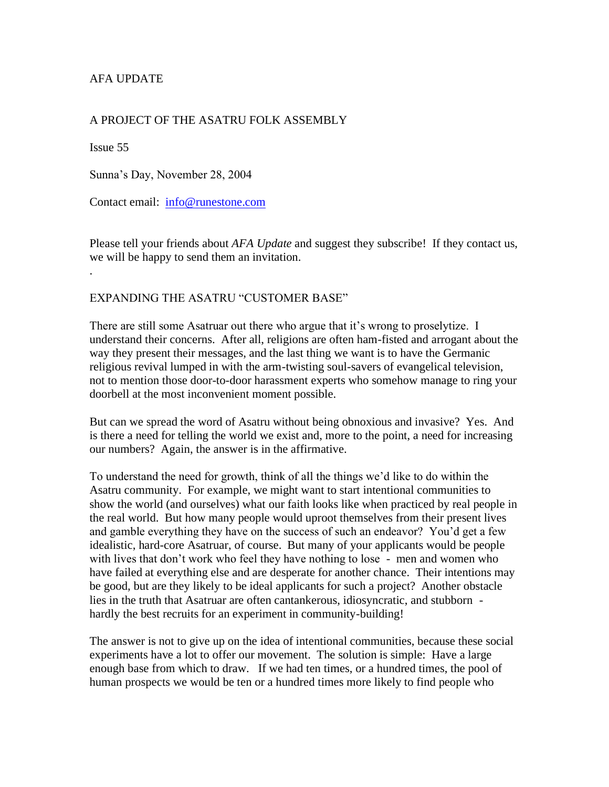# AFA UPDATE

## A PROJECT OF THE ASATRU FOLK ASSEMBLY

Issue 55

.

Sunna's Day, November 28, 2004

Contact email: [info@runestone.com](mailto:info@runestone.com)

Please tell your friends about *AFA Update* and suggest they subscribe! If they contact us, we will be happy to send them an invitation.

### EXPANDING THE ASATRU "CUSTOMER BASE"

There are still some Asatruar out there who argue that it's wrong to proselytize. I understand their concerns. After all, religions are often ham-fisted and arrogant about the way they present their messages, and the last thing we want is to have the Germanic religious revival lumped in with the arm-twisting soul-savers of evangelical television, not to mention those door-to-door harassment experts who somehow manage to ring your doorbell at the most inconvenient moment possible.

But can we spread the word of Asatru without being obnoxious and invasive? Yes. And is there a need for telling the world we exist and, more to the point, a need for increasing our numbers? Again, the answer is in the affirmative.

To understand the need for growth, think of all the things we'd like to do within the Asatru community. For example, we might want to start intentional communities to show the world (and ourselves) what our faith looks like when practiced by real people in the real world. But how many people would uproot themselves from their present lives and gamble everything they have on the success of such an endeavor? You'd get a few idealistic, hard-core Asatruar, of course. But many of your applicants would be people with lives that don't work who feel they have nothing to lose - men and women who have failed at everything else and are desperate for another chance. Their intentions may be good, but are they likely to be ideal applicants for such a project? Another obstacle lies in the truth that Asatruar are often cantankerous, idiosyncratic, and stubborn hardly the best recruits for an experiment in community-building!

The answer is not to give up on the idea of intentional communities, because these social experiments have a lot to offer our movement. The solution is simple: Have a large enough base from which to draw. If we had ten times, or a hundred times, the pool of human prospects we would be ten or a hundred times more likely to find people who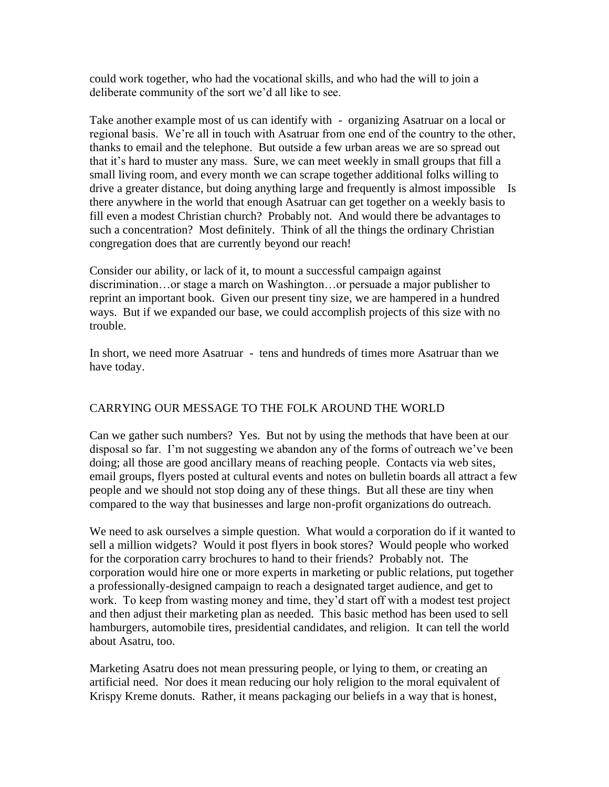could work together, who had the vocational skills, and who had the will to join a deliberate community of the sort we'd all like to see.

Take another example most of us can identify with - organizing Asatruar on a local or regional basis. We're all in touch with Asatruar from one end of the country to the other, thanks to email and the telephone. But outside a few urban areas we are so spread out that it's hard to muster any mass. Sure, we can meet weekly in small groups that fill a small living room, and every month we can scrape together additional folks willing to drive a greater distance, but doing anything large and frequently is almost impossible Is there anywhere in the world that enough Asatruar can get together on a weekly basis to fill even a modest Christian church? Probably not. And would there be advantages to such a concentration? Most definitely. Think of all the things the ordinary Christian congregation does that are currently beyond our reach!

Consider our ability, or lack of it, to mount a successful campaign against discrimination…or stage a march on Washington…or persuade a major publisher to reprint an important book. Given our present tiny size, we are hampered in a hundred ways. But if we expanded our base, we could accomplish projects of this size with no trouble.

In short, we need more Asatruar - tens and hundreds of times more Asatruar than we have today.

## CARRYING OUR MESSAGE TO THE FOLK AROUND THE WORLD

Can we gather such numbers? Yes. But not by using the methods that have been at our disposal so far. I'm not suggesting we abandon any of the forms of outreach we've been doing; all those are good ancillary means of reaching people. Contacts via web sites, email groups, flyers posted at cultural events and notes on bulletin boards all attract a few people and we should not stop doing any of these things. But all these are tiny when compared to the way that businesses and large non-profit organizations do outreach.

We need to ask ourselves a simple question. What would a corporation do if it wanted to sell a million widgets? Would it post flyers in book stores? Would people who worked for the corporation carry brochures to hand to their friends? Probably not. The corporation would hire one or more experts in marketing or public relations, put together a professionally-designed campaign to reach a designated target audience, and get to work. To keep from wasting money and time, they'd start off with a modest test project and then adjust their marketing plan as needed. This basic method has been used to sell hamburgers, automobile tires, presidential candidates, and religion. It can tell the world about Asatru, too.

Marketing Asatru does not mean pressuring people, or lying to them, or creating an artificial need. Nor does it mean reducing our holy religion to the moral equivalent of Krispy Kreme donuts. Rather, it means packaging our beliefs in a way that is honest,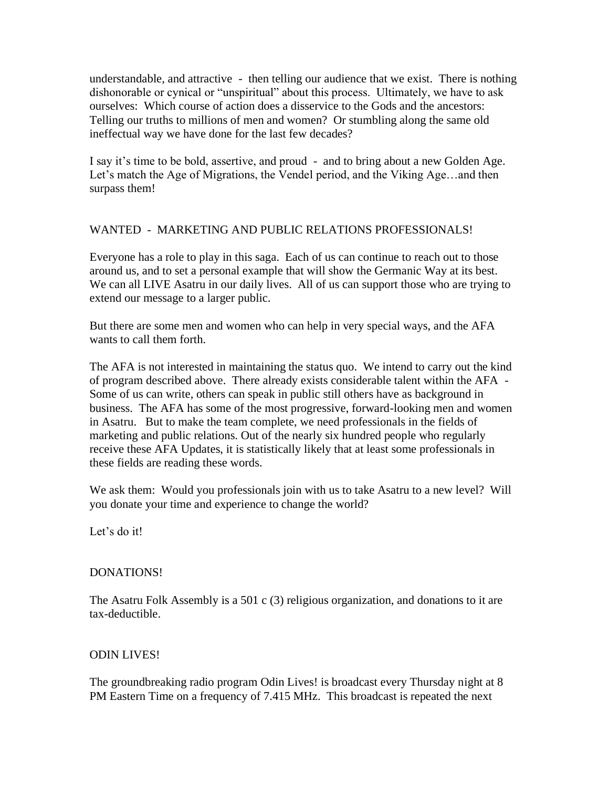understandable, and attractive - then telling our audience that we exist. There is nothing dishonorable or cynical or "unspiritual" about this process. Ultimately, we have to ask ourselves: Which course of action does a disservice to the Gods and the ancestors: Telling our truths to millions of men and women? Or stumbling along the same old ineffectual way we have done for the last few decades?

I say it's time to be bold, assertive, and proud - and to bring about a new Golden Age. Let's match the Age of Migrations, the Vendel period, and the Viking Age…and then surpass them!

### WANTED - MARKETING AND PUBLIC RELATIONS PROFESSIONALS!

Everyone has a role to play in this saga. Each of us can continue to reach out to those around us, and to set a personal example that will show the Germanic Way at its best. We can all LIVE Asatru in our daily lives. All of us can support those who are trying to extend our message to a larger public.

But there are some men and women who can help in very special ways, and the AFA wants to call them forth.

The AFA is not interested in maintaining the status quo. We intend to carry out the kind of program described above. There already exists considerable talent within the AFA - Some of us can write, others can speak in public still others have as background in business. The AFA has some of the most progressive, forward-looking men and women in Asatru. But to make the team complete, we need professionals in the fields of marketing and public relations. Out of the nearly six hundred people who regularly receive these AFA Updates, it is statistically likely that at least some professionals in these fields are reading these words.

We ask them: Would you professionals join with us to take Asatru to a new level? Will you donate your time and experience to change the world?

Let's do it!

#### DONATIONS!

The Asatru Folk Assembly is a 501 c (3) religious organization, and donations to it are tax-deductible.

#### ODIN LIVES!

The groundbreaking radio program Odin Lives! is broadcast every Thursday night at 8 PM Eastern Time on a frequency of 7.415 MHz. This broadcast is repeated the next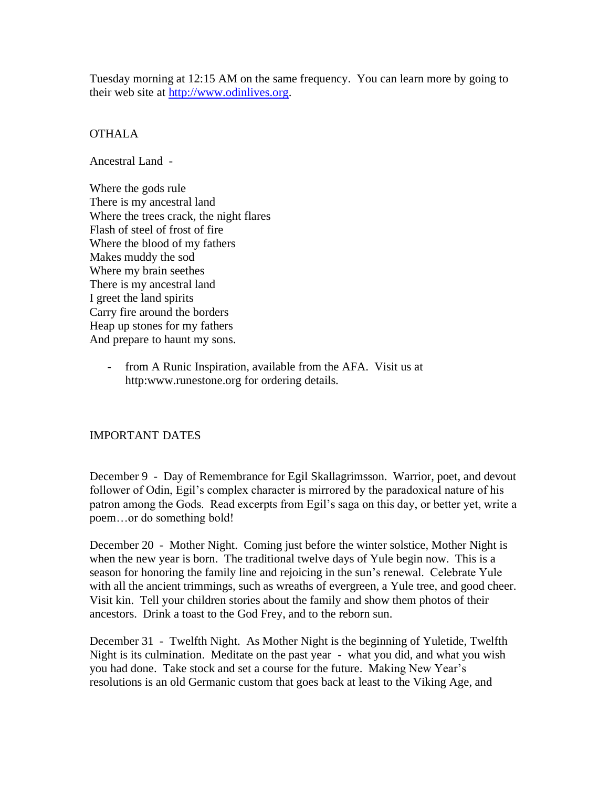Tuesday morning at 12:15 AM on the same frequency. You can learn more by going to their web site at [http://www.odinlives.org.](http://www.odinlives.org/)

# **OTHALA**

Ancestral Land -

Where the gods rule There is my ancestral land Where the trees crack, the night flares Flash of steel of frost of fire Where the blood of my fathers Makes muddy the sod Where my brain seethes There is my ancestral land I greet the land spirits Carry fire around the borders Heap up stones for my fathers And prepare to haunt my sons.

> from A Runic Inspiration, available from the AFA. Visit us at http:www.runestone.org for ordering details.

## IMPORTANT DATES

December 9 - Day of Remembrance for Egil Skallagrimsson. Warrior, poet, and devout follower of Odin, Egil's complex character is mirrored by the paradoxical nature of his patron among the Gods. Read excerpts from Egil's saga on this day, or better yet, write a poem…or do something bold!

December 20 - Mother Night. Coming just before the winter solstice, Mother Night is when the new year is born. The traditional twelve days of Yule begin now. This is a season for honoring the family line and rejoicing in the sun's renewal. Celebrate Yule with all the ancient trimmings, such as wreaths of evergreen, a Yule tree, and good cheer. Visit kin. Tell your children stories about the family and show them photos of their ancestors. Drink a toast to the God Frey, and to the reborn sun.

December 31 - Twelfth Night. As Mother Night is the beginning of Yuletide, Twelfth Night is its culmination. Meditate on the past year - what you did, and what you wish you had done. Take stock and set a course for the future. Making New Year's resolutions is an old Germanic custom that goes back at least to the Viking Age, and